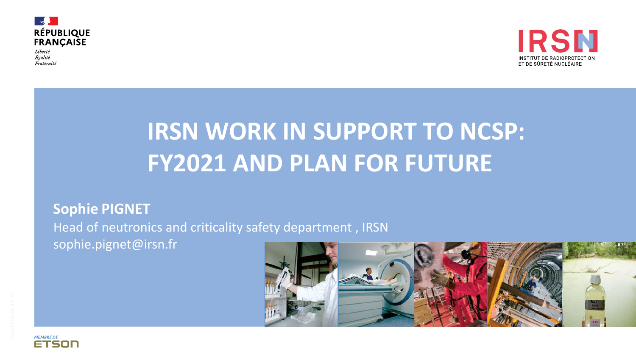

Liberté Égalité Fraternité



## **IRSN WORK IN SUPPORT TO NCSP: FY2021 AND PLAN FOR FUTURE**

## **Sophie PIGNET**

Head of neutronics and criticality safety department , IRSN

sophie.pignet@irsn.fr



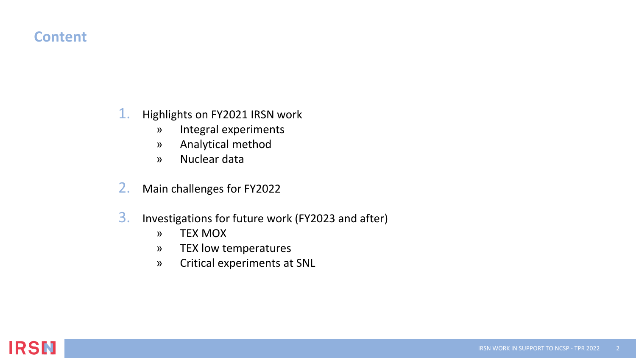## **Content**

## 1. Highlights on FY2021 IRSN work

- » Integral experiments
- » Analytical method
- » Nuclear data
- 2. Main challenges for FY2022
- 3. Investigations for future work (FY2023 and after)
	- » TEX MOX
	- » TEX low temperatures
	- » Critical experiments at SNL

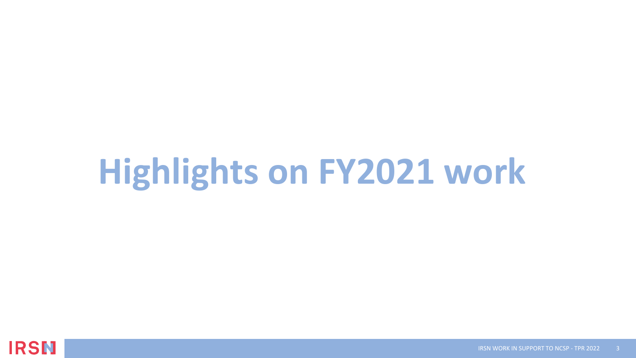# **Highlights on FY2021 work**

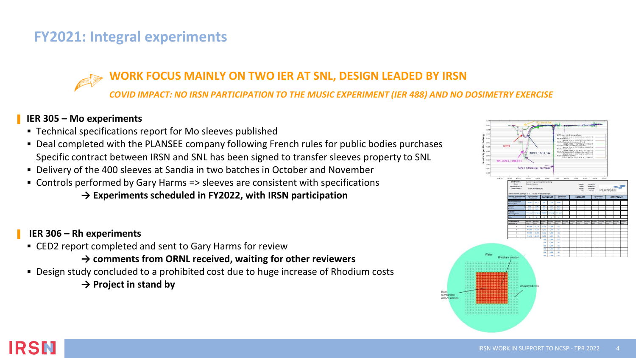## **FY2021: Integral experiments**

## **WORK FOCUS MAINLY ON TWO IER AT SNL, DESIGN LEADED BY IRSN**

*COVID IMPACT: NO IRSN PARTICIPATION TO THE MUSIC EXPERIMENT (IER 488) AND NO DOSIMETRY EXERCISE*

### ▌ **IER 305 – Mo experiments**

- Technical specifications report for Mo sleeves published
- **Deal completed with the PLANSEE company following French rules for public bodies purchases** Specific contract between IRSN and SNL has been signed to transfer sleeves property to SNL
- **Delivery of the 400 sleeves at Sandia in two batches in October and November**
- Controls performed by Gary Harms => sleeves are consistent with specifications

### **→ Experiments scheduled in FY2022, with IRSN participation**

### ▌ **IER 306 – Rh experiments**

■ CED2 report completed and sent to Gary Harms for review

**→ comments from ORNL received, waiting for other reviewers**

- Design study concluded to a prohibited cost due to huge increase of Rhodium costs
	- **→ Project in stand by**



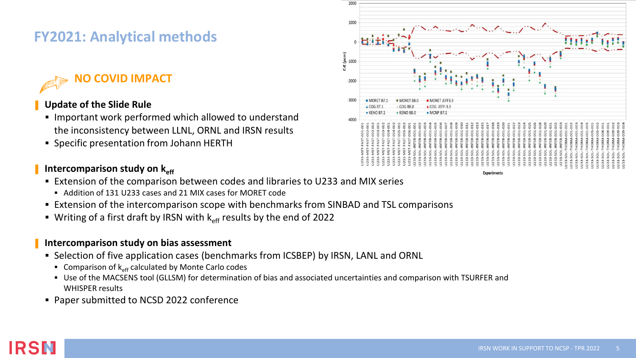## **FY2021: Analytical methods**

## **NO COVID IMPACT**

### ▌ **Update of the Slide Rule**

- Important work performed which allowed to understand the inconsistency between LLNL, ORNL and IRSN results
- Specific presentation from Johann HERTH

#### Intercomparison study on  $k_{\text{eff}}$

- Extension of the comparison between codes and libraries to U233 and MIX series
	- Addition of 131 U233 cases and 21 MIX cases for MORET code
- **Extension of the intercomparison scope with benchmarks from SINBAD and TSL comparisons**
- **E** Writing of a first draft by IRSN with  $k_{\text{eff}}$  results by the end of 2022

#### ▌ **Intercomparison study on bias assessment**

- **EXECTED 15 IS Selection of five application cases (benchmarks from ICSBEP) by IRSN, LANL and ORNL** 
	- **Comparison of**  $k_{\text{off}}$  **calculated by Monte Carlo codes**
	- Use of the MACSENS tool (GLLSM) for determination of bias and associated uncertainties and comparison with TSURFER and WHISPER results
- Paper submitted to NCSD 2022 conference



Experiment

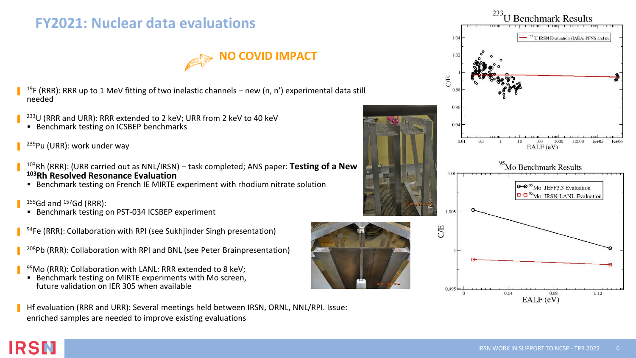## **FY2021: Nuclear data evaluations**



- ▌ <sup>19</sup>F (RRR): RRR up to 1 MeV fitting of two inelastic channels – new (n, n') experimental data still needed
- ▌ <sup>233</sup>U (RRR and URR): RRR extended to 2 keV; URR from 2 keV to 40 keV
	- Benchmark testing on ICSBEP benchmarks
- ▌ <sup>239</sup>Pu (URR): work under way
- ▌ <sup>103</sup>Rh (RRR): (URR carried out as NNL/IRSN) – task completed; ANS paper: **Testing of a New <sup>103</sup>Rh Resolved Resonance Evaluation**
	- **EXECT** Benchmark testing on French IE MIRTE experiment with rhodium nitrate solution
- $155Gd$  and  $157Gd$  (RRR):

▌

IRSN

- Benchmark testing on PST-034 ICSBEP experiment
- ▌ <sup>54</sup>Fe (RRR): Collaboration with RPI (see Sukhjinder Singh presentation)
- ▌ <sup>208</sup>Pb (RRR): Collaboration with RPI and BNL (see Peter Brainpresentation)
- ▌ <sup>95</sup>Mo (RRR): Collaboration with LANL: RRR extended to 8 keV;
	- **Benchmark testing on MIRTE experiments with Mo screen,** future validation on IER 305 when available
- ▌ Hf evaluation (RRR and URR): Several meetings held between IRSN, ORNL, NNL/RPI. Issue: enriched samples are needed to improve existing evaluations

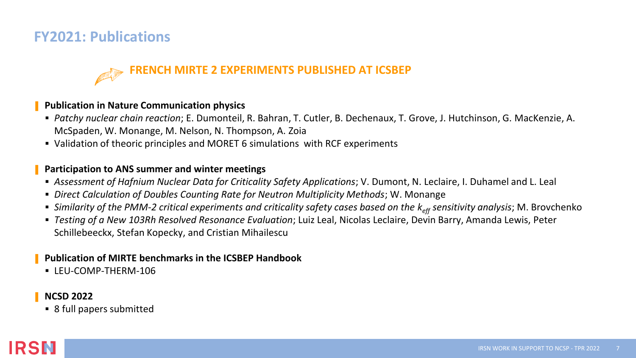## **FY2021: Publications**

## **FRENCH MIRTE 2 EXPERIMENTS PUBLISHED AT ICSBEP**

#### ▌ **Publication in Nature Communication physics**

- *Patchy nuclear chain reaction*; E. Dumonteil, R. Bahran, T. Cutler, B. Dechenaux, T. Grove, J. Hutchinson, G. MacKenzie, A. McSpaden, W. Monange, M. Nelson, N. Thompson, A. Zoia
- Validation of theoric principles and MORET 6 simulations with RCF experiments

#### ▌ **Participation to ANS summer and winter meetings**

- *Assessment of Hafnium Nuclear Data for Criticality Safety Applications*; V. Dumont, N. Leclaire, I. Duhamel and L. Leal
- *Direct Calculation of Doubles Counting Rate for Neutron Multiplicity Methods*; W. Monange
- *Similarity of the PMM-2 critical experiments and criticality safety cases based on the k<sub>eff</sub> sensitivity analysis; M. Brovchenko*
- *Testing of a New 103Rh Resolved Resonance Evaluation*; Luiz Leal, Nicolas Leclaire, Devin Barry, Amanda Lewis, Peter Schillebeeckx, Stefan Kopecky, and Cristian Mihailescu

### ▌ **Publication of MIRTE benchmarks in the ICSBEP Handbook**

▪ LEU-COMP-THERM-106

#### ▌ **NCSD 2022**

■ 8 full papers submitted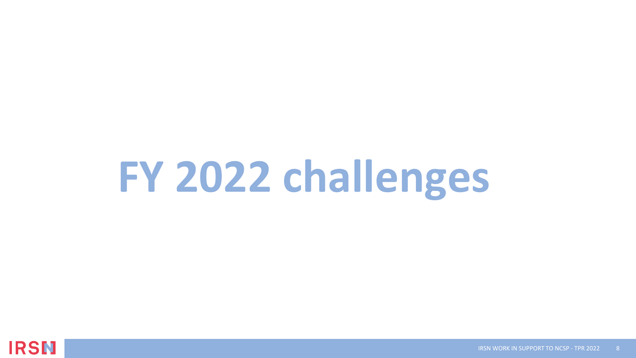# **FY 2022 challenges**

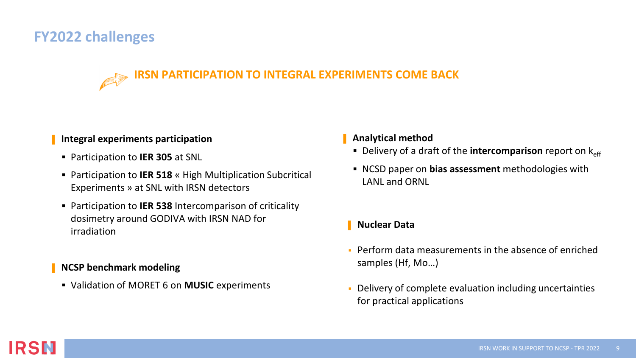## **FY2022 challenges**

## **IRSN PARTICIPATION TO INTEGRAL EXPERIMENTS COME BACK**

#### ▌ **Integral experiments participation**

- Participation to **IER 305** at SNL
- Participation to **IER 518** « High Multiplication Subcritical Experiments » at SNL with IRSN detectors
- Participation to IER 538 Intercomparison of criticality dosimetry around GODIVA with IRSN NAD for irradiation

### ▌ **NCSP benchmark modeling**

▪ Validation of MORET 6 on **MUSIC** experiments

#### ▌ **Analytical method**

- **Delivery of a draft of the intercomparison report on k<sub>eff</sub>**
- NCSD paper on **bias assessment** methodologies with LANL and ORNL

## ▌ **Nuclear Data**

- Perform data measurements in the absence of enriched samples (Hf, Mo…)
- Delivery of complete evaluation including uncertainties for practical applications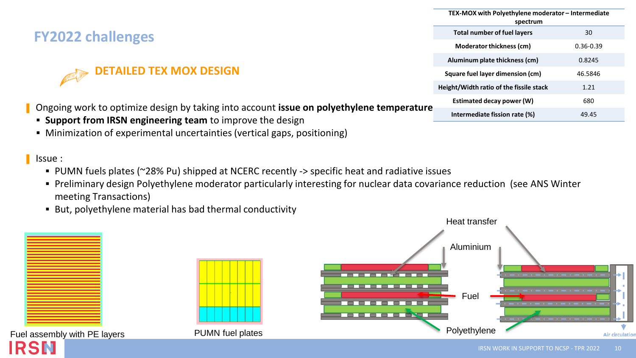## **FY2022 challenges**

## **AILED TEX MOX DESIGN**

▌ Ongoing work to optimize design by taking into account **issue on polyethylene temperature**

- **Support from IRSN engineering team** to improve the design
- Minimization of experimental uncertainties (vertical gaps, positioning)

#### ▌ Issue :

- PUMN fuels plates (~28% Pu) shipped at NCERC recently -> specific heat and radiative issues
- Preliminary design Polyethylene moderator particularly interesting for nuclear data covariance reduction (see ANS Winter meeting Transactions)
- But, polyethylene material has bad thermal conductivity



|   | TEX-MOX with Polyethylene moderator - Intermediate<br>spectrum |               |
|---|----------------------------------------------------------------|---------------|
|   | <b>Total number of fuel layers</b>                             | 30            |
|   | Moderator thickness (cm)                                       | $0.36 - 0.39$ |
|   | Aluminum plate thickness (cm)                                  | 0.8245        |
| ∍ | Square fuel layer dimension (cm)                               | 46.5846       |
|   | Height/Width ratio of the fissile stack                        | 1.21          |
|   | Estimated decay power (W)                                      | 680           |
|   | Intermediate fission rate (%)                                  | 49.45         |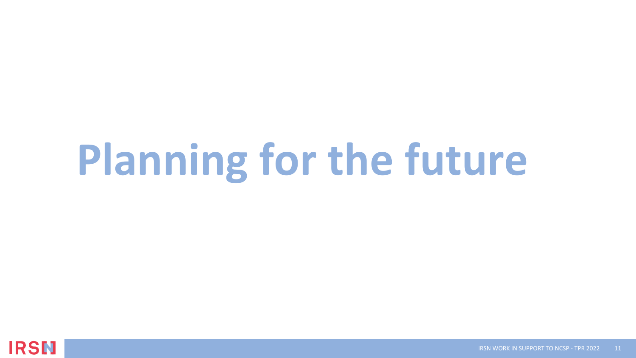# **Planning for the future**

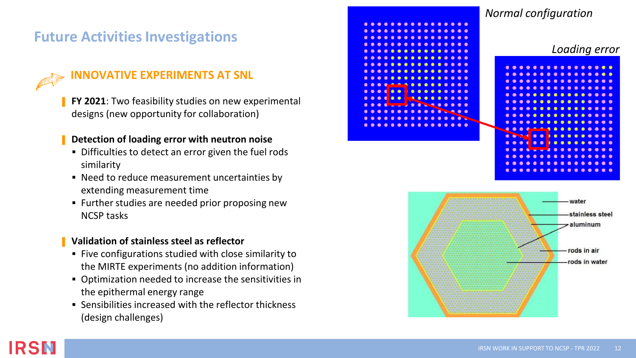## **Future Activities Investigations**



IRSN

## **INNOVATIVE EXPERIMENTS AT SNL**

**FY 2021**: Two feasibility studies on new experimental designs (new opportunity for collaboration)

#### ▌ **Detection of loading error with neutron noise**

- **•** Difficulties to detect an error given the fuel rods similarity
- Need to reduce measurement uncertainties by extending measurement time
- Further studies are needed prior proposing new NCSP tasks

#### ▌ **Validation of stainless steel as reflector**

- Five configurations studied with close similarity to the MIRTE experiments (no addition information)
- Optimization needed to increase the sensitivities in the epithermal energy range
- Sensibilities increased with the reflector thickness (design challenges)

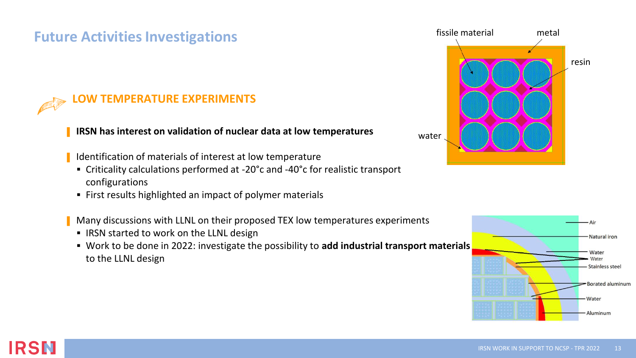## **Future Activities Investigations**



## **W TEMPERATURE EXPERIMENTS**

#### ▌ **IRSN has interest on validation of nuclear data at low temperatures**

- Identification of materials of interest at low temperature
- Criticality calculations performed at -20°c and -40°c for realistic transport configurations
- First results highlighted an impact of polymer materials

Many discussions with LLNL on their proposed TEX low temperatures experiments

- IRSN started to work on the LLNL design
- Work to be done in 2022: investigate the possibility to **add industrial transport materials** to the LLNL design





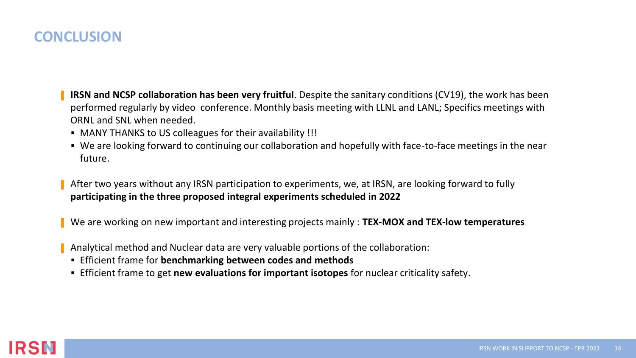## **CONCLUSION**

- ▌ **IRSN and NCSP collaboration has been very fruitful**. Despite the sanitary conditions (CV19), the work has been performed regularly by video conference. Monthly basis meeting with LLNL and LANL; Specifics meetings with ORNL and SNL when needed.
- MANY THANKS to US colleagues for their availability !!!
- We are looking forward to continuing our collaboration and hopefully with face-to-face meetings in the near future.
- ▌ After two years without any IRSN participation to experiments, we, at IRSN, are looking forward to fully **participating in the three proposed integral experiments scheduled in 2022**
- ▌ We are working on new important and interesting projects mainly : **TEX-MOX and TEX-low temperatures**
- ▌ Analytical method and Nuclear data are very valuable portions of the collaboration:
	- Efficient frame for **benchmarking between codes and methods**
	- Efficient frame to get **new evaluations for important isotopes** for nuclear criticality safety.